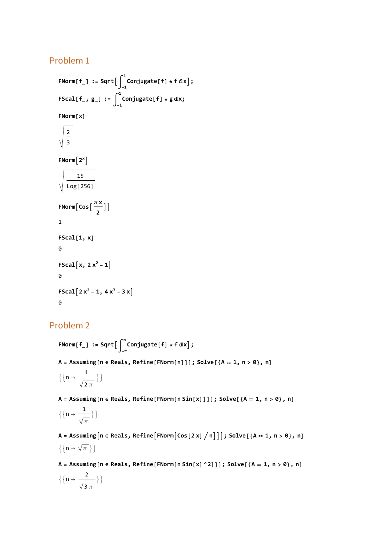## Problem 1

```
FNorm[f_] := Sqrt
-1
                           1
Conjugate[f] * f ⅆx;
FScal[f_, g_] := 
-1
                         1
Conjugate[f] * g ⅆx;
FNorm[x]
    2
    3
FNorm[2^x]15
    Log[256]
\frac{\pi x}{2}]
1
FScal[1, x]
\thetaFScal[x, 2x^2 - 1]\alphaFScal<sup>[2 x<sup>2</sup> - 1, 4 x<sup>3</sup> - 3 x]</sup>
\alpha
```
# Problem 2

 ${\sf FNorm}[\,{\sf f}_-]\,$   $\,:$   $\,$   $\,{\sf Sqrt} \big[\,\big]\,\big\}_{-\pi}$ **π Conjugate[f] \* f ⅆx;**

**A = Assuming[n ∈ Reals, Refine[FNorm[n]]]; Solve[{A ⩵ 1, n > 0}, n]**

$$
\Big\{\Big\{n\rightarrow\frac{1}{\sqrt{2\,\pi}}\Big\}\Big\}
$$

 $A = Assuming[n \in Reals, Refine[FNorm[n Sin[X]]]]$ ;  $Solve[{A = 1, n > 0}, n]$ 

$$
\Big\{\Big\{n\rightarrow\frac{1}{\sqrt{\pi}}\Big\}\Big\}
$$

A = Assuming  $[n \in \text{Reals}, \text{Refine}[\text{FNorm}[\text{Cos}[2 \times ] / n]]]; \text{Solve}[\{A = 1, n > 0\}, n]$  $\{\{n \rightarrow \sqrt{\pi}\}\}\$ 

A = Assuming  $[n \in \text{Reals}, \text{Refine}[\text{FNorm}[n \sin[x] \land 2]]]; \text{Solve}[\{A = 1, n > 0\}, n]$  $\left\{ \left\{ n\rightarrow \frac{2}{n}\right\}$ 3 π  $\}$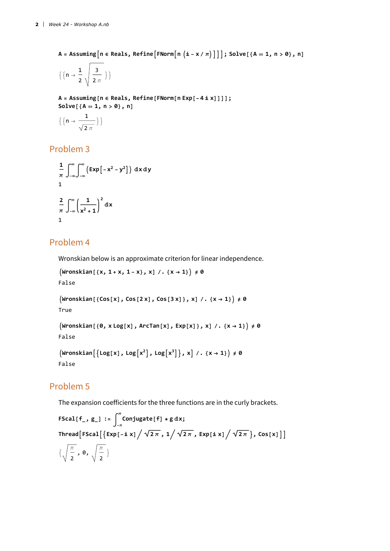A = Assuming  $[n \in \text{Reals}, \text{Refine}[\text{FNorm}[n (i - x / \pi)]]]$ ; Solve  $[A = 1, n > 0], n]$ 

$$
\Big\{\Big\{n\rightarrow\frac{1}{2}\ \sqrt{\frac{3}{2\ \pi}}\ \Big\}\Big\}
$$

**A = Assuming[n ∈ Reals, Refine[FNorm[n Exp[-4 ⅈ x]]]]; Solve[{A ⩵ 1, n > 0}, n]**

$$
\Big\{\Big\{n\rightarrow\frac{1}{\sqrt{2\ \pi}}\Big\}\Big\}
$$

## Problem 3

$$
\frac{1}{\pi} \int_{-\infty}^{\infty} \int_{-\infty}^{\infty} \left( \exp \left[ -x^2 - y^2 \right] \right) dx dy
$$
  
1  

$$
\frac{2}{\pi} \int_{-\infty}^{\infty} \left( \frac{1}{x^2 + 1} \right)^2 dx
$$
  
1

#### Problem 4

Wronskian below is an approximate criterion for linear independence.

```
Wronskian[{x, 1 + x, 1 - x}, x] /. {x → 1} ≠ 0
False
\left(\text{Wronskian}\left[\ \left\{ \text{Cos}\left[X\right],\ \text{Cos}\left[2\,X\right],\ \text{Cos}\left[3\,X\right]\ \right\},\ X\right] / . \ \left\{X\rightarrow1\right\}\right)\neq\emptysetTrue
```

```
\text{(Wronskian[0, x Log[x], ArcTan[x], Exp[x]), x] /. {x \rightarrow 1}) \neq 0False
```

```
\left(\frac{\text{Wronskian}}{\text{Mronskian}}\left[\frac{\text{Log}[x]}{\text{Monskian}}\right], \text{Log}[x^2], \text{Log}[x^3]\right\}, x \mid \text{A} \left\{x \to 1\right\}\right) \neq 0False
```
### Problem 5

The expansion coefficients for the three functions are in the curly brackets.

**FScal[f\_, g\_] := -π π Conjugate[f] \* g ⅆx;**  $\int \frac{1}{\sqrt{2\pi}} \int$  **FSCal** $\left[ \left\{ \exp \left[ -\frac{\hat{n} \times \hat{n}}{\sqrt{2\pi}}, \frac{1}{\sqrt{2\pi}}, \exp \left[ \frac{\hat{n} \times \hat{n}}{\sqrt{2\pi}} \right], \cos \left[ \frac{\hat{n} \times \hat{n}}{\sqrt{2\pi}} \right] \right\} \right]$  $\left\{\begin{array}{c} \pi \end{array}\right\}$ 2 ,  $\theta$ ,  $\sqrt{\frac{\pi}{2}}$  }